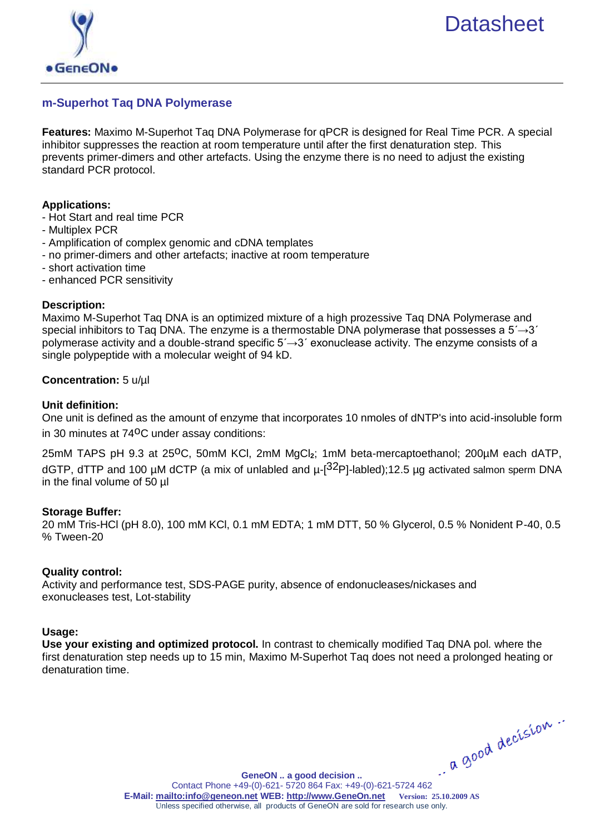

# **m-Superhot Taq DNA Polymerase**

**Features:** Maximo M-Superhot Taq DNA Polymerase for qPCR is designed for Real Time PCR. A special inhibitor suppresses the reaction at room temperature until after the first denaturation step. This prevents primer-dimers and other artefacts. Using the enzyme there is no need to adjust the existing standard PCR protocol.

#### **Applications:**

- Hot Start and real time PCR
- Multiplex PCR
- Amplification of complex genomic and cDNA templates
- no primer-dimers and other artefacts; inactive at room temperature
- short activation time
- enhanced PCR sensitivity

#### **Description:**

Maximo M-Superhot Taq DNA is an optimized mixture of a high prozessive Taq DNA Polymerase and special inhibitors to Taq DNA. The enzyme is a thermostable DNA polymerase that possesses a  $5\rightarrow 3'$ polymerase activity and a double-strand specific  $5\rightarrow 3'$  exonuclease activity. The enzyme consists of a single polypeptide with a molecular weight of 94 kD.

#### **Concentration:** 5 u/µl

#### **Unit definition:**

One unit is defined as the amount of enzyme that incorporates 10 nmoles of dNTP's into acid-insoluble form in 30 minutes at  $74^{\circ}$ C under assay conditions:

25mM TAPS pH 9.3 at 25<sup>o</sup>C, 50mM KCI, 2mM MgCl<sub>2</sub>; 1mM beta-mercaptoethanol; 200µM each dATP, dGTP, dTTP and 100 µM dCTP (a mix of unlabled and  $\mu$ -[<sup>32</sup>P]-labled);12.5 µg activated salmon sperm DNA in the final volume of 50 µl

#### **Storage Buffer:**

20 mM Tris-HCl (pH 8.0), 100 mM KCl, 0.1 mM EDTA; 1 mM DTT, 50 % Glycerol, 0.5 % Nonident P-40, 0.5 % Tween-20

#### **Quality control:**

Activity and performance test, SDS-PAGE purity, absence of endonucleases/nickases and exonucleases test, Lot-stability

#### **Usage:**

**Use your existing and optimized protocol.** In contrast to chemically modified Taq DNA pol. where the first denaturation step needs up to 15 min, Maximo M-Superhot Taq does not need a prolonged heating or denaturation time.

**[GeneON .. a good decision ..](http://www.geneon.net/)** GeneON .. a good decision ..<br>Contact Phone +49-(0)-621- 5720 864 Fax: +49-(0)-621-5724 462 **E-Mail:<mailto:info@geneon.net> WEB: [http://www.GeneOn.net](http://www.geneon.net/) Version: 25.10.2009 AS** Unless specified otherwise, all products of GeneON are sold for research use only.